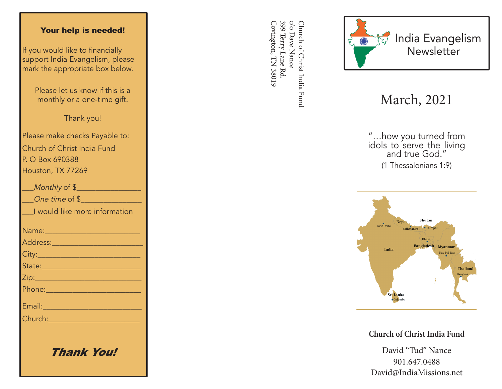#### Your help is needed!

If you would like to financially support India Evangelism, please mark the appropriate box below.

> Please let us know if this is a monthly or a one-time gift.

> > Thank you!

Please make checks Payable to: Church of Christ India Fund P. O Box 690388 Houston, TX 77269

| Monthly of \$                                                                                                 |
|---------------------------------------------------------------------------------------------------------------|
| One time of \$                                                                                                |
| I would like more information                                                                                 |
| Name:_________________________                                                                                |
|                                                                                                               |
|                                                                                                               |
| State: 2008 - 2008 - 2010 - 2011 - 2012 - 2012 - 2012 - 2012 - 2012 - 2012 - 2012 - 2012 - 2014 - 2012 - 2012 |
|                                                                                                               |
|                                                                                                               |
| Email: 2008 - 2008 - 2014 - 2014 - 2014 - 2014 - 2014 - 2014 - 2014 - 2014 - 2014 - 2014 - 2014 - 2014 - 2014 |
| Church: 2008 2009 2009 2010 2021 2022 2023                                                                    |
|                                                                                                               |
|                                                                                                               |

Thank You!

399 Terry Lane Rd c/o Dave Nance Covington, TN 38019 Covington, TN 38019 399 Terry Lane Rd. c/o Dave Nance Church of Christ India Fund Church of Christ India Fund



# March, 2021

"…how you turned from idols to serve the living and true God." (1 Thessalonians 1:9)



**Church of Christ India Fund**

David "Tud" Nance 901.647.0488 David@IndiaMissions.net